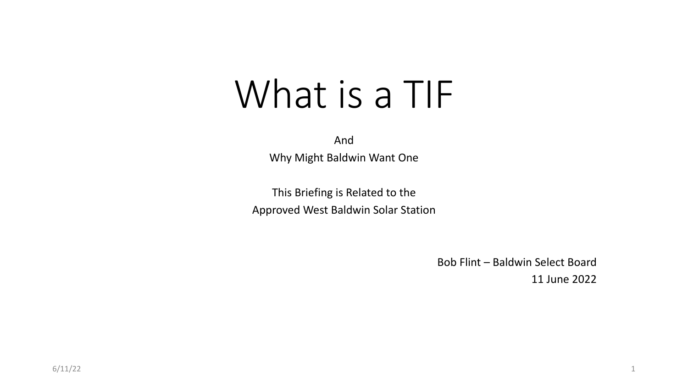# What is a TIF

And

Why Might Baldwin Want One

This Briefing is Related to the Approved West Baldwin Solar Station

> Bob Flint – Baldwin Select Board 11 June 2022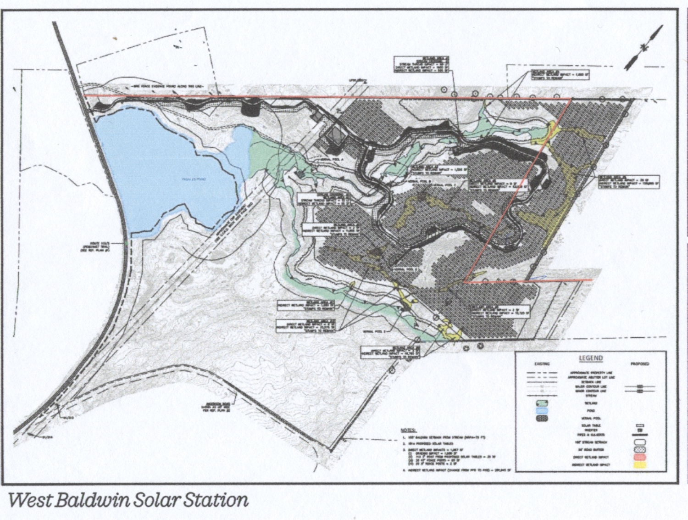

West Baldwin Solar Station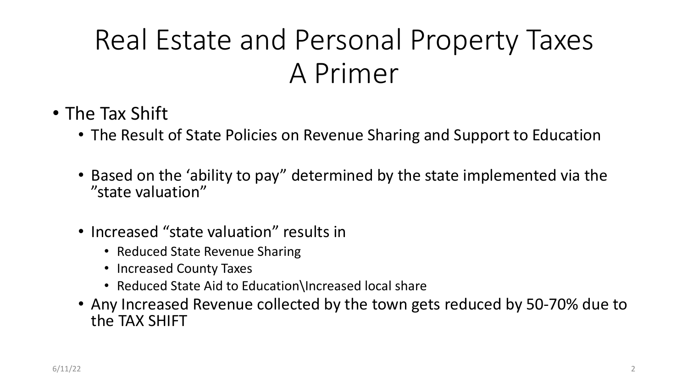- The Tax Shift
	- The Result of State Policies on Revenue Sharing and Support to Education
	- Based on the 'ability to pay" determined by the state implemented via the "state valuation"
	- Increased "state valuation" results in
		- Reduced State Revenue Sharing
		- Increased County Taxes
		- Reduced State Aid to Education\Increased local share
	- Any Increased Revenue collected by the town gets reduced by 50-70% due to the TAX SHIFT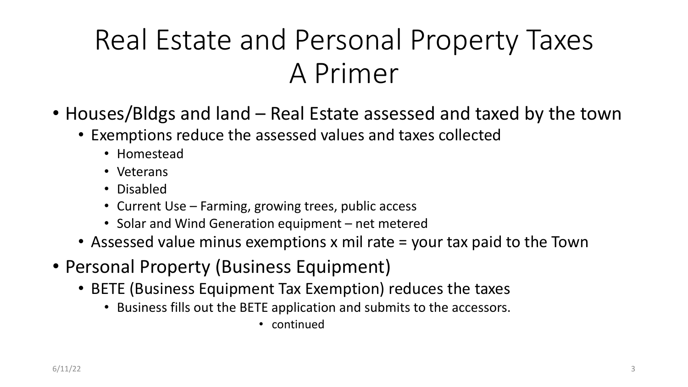- Houses/Bldgs and land Real Estate assessed and taxed by the town
	- Exemptions reduce the assessed values and taxes collected
		- Homestead
		- Veterans
		- Disabled
		- Current Use Farming, growing trees, public access
		- Solar and Wind Generation equipment net metered
	- Assessed value minus exemptions x mil rate = your tax paid to the Town
- Personal Property (Business Equipment)
	- BETE (Business Equipment Tax Exemption) reduces the taxes
		- Business fills out the BETE application and submits to the accessors.
			- continued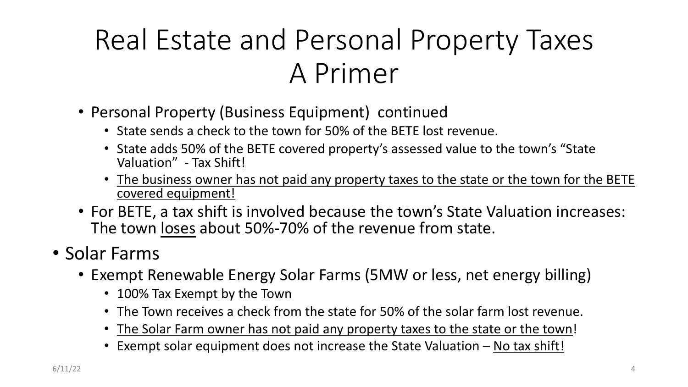- Personal Property (Business Equipment) continued
	- State sends a check to the town for 50% of the BETE lost revenue.
	- State adds 50% of the BETE covered property's assessed value to the town's "State Valuation" - Tax Shift!
	- The business owner has not paid any property taxes to the state or the town for the BETE covered equipment!
- For BETE, a tax shift is involved because the town's State Valuation increases: The town loses about 50%-70% of the revenue from state.
- Solar Farms
	- Exempt Renewable Energy Solar Farms (5MW or less, net energy billing)
		- 100% Tax Exempt by the Town
		- The Town receives a check from the state for 50% of the solar farm lost revenue.
		- The Solar Farm owner has not paid any property taxes to the state or the town!
		- Exempt solar equipment does not increase the State Valuation No tax shift!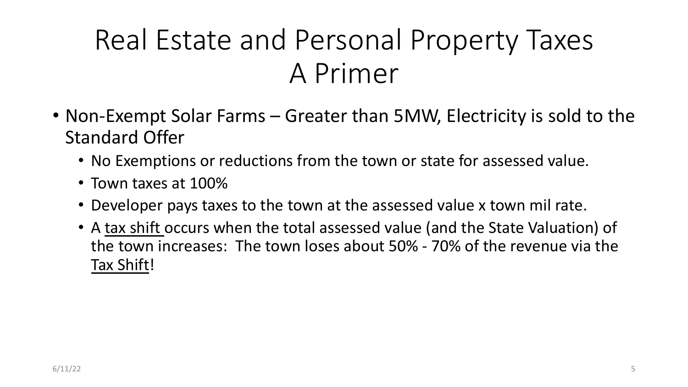- Non-Exempt Solar Farms Greater than 5MW, Electricity is sold to the Standard Offer
	- No Exemptions or reductions from the town or state for assessed value.
	- Town taxes at 100%
	- Developer pays taxes to the town at the assessed value x town mil rate.
	- A tax shift occurs when the total assessed value (and the State Valuation) of the town increases: The town loses about 50% - 70% of the revenue via the Tax Shift!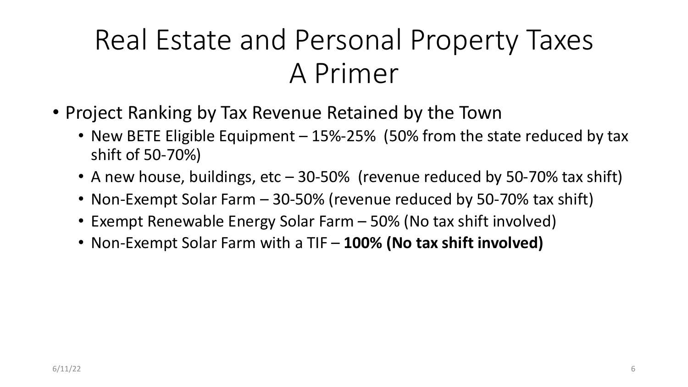- Project Ranking by Tax Revenue Retained by the Town
	- New BETE Eligible Equipment 15%-25% (50% from the state reduced by tax shift of 50-70%)
	- A new house, buildings, etc 30-50% (revenue reduced by 50-70% tax shift)
	- Non-Exempt Solar Farm 30-50% (revenue reduced by 50-70% tax shift)
	- Exempt Renewable Energy Solar Farm 50% (No tax shift involved)
	- Non-Exempt Solar Farm with a TIF **100% (No tax shift involved)**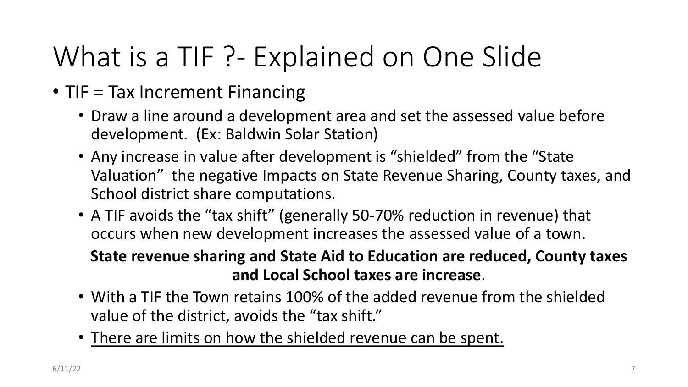### What is a TIF ?- Explained on One Slide

- TIF = Tax Increment Financing
	- Draw a line around a development area and set the assessed value before development. (Ex: Baldwin Solar Station)
	- Any increase in value after development is "shielded" from the "State Valuation" the negative Impacts on State Revenue Sharing, County taxes, and School district share computations.
	- A TIF avoids the "tax shift" (generally 50-70% reduction in revenue) that occurs when new development increases the assessed value of a town.

#### **State revenue sharing and State Aid to Education are reduced, County taxes and Local School taxes are increase**.

- With a TIF the Town retains 100% of the added revenue from the shielded value of the district, avoids the "tax shift."
- There are limits on how the shielded revenue can be spent.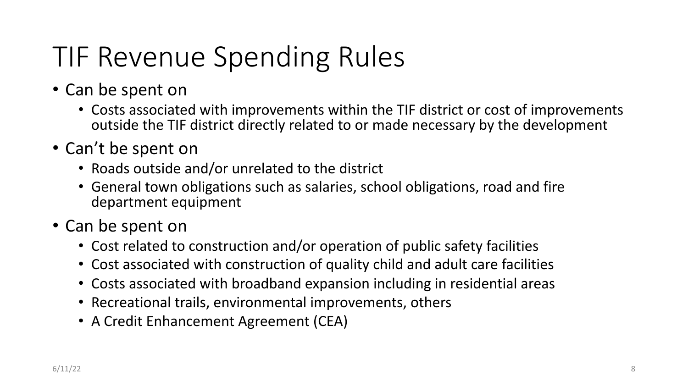# TIF Revenue Spending Rules

- Can be spent on
	- Costs associated with improvements within the TIF district or cost of improvements outside the TIF district directly related to or made necessary by the development
- Can't be spent on
	- Roads outside and/or unrelated to the district
	- General town obligations such as salaries, school obligations, road and fire department equipment
- Can be spent on
	- Cost related to construction and/or operation of public safety facilities
	- Cost associated with construction of quality child and adult care facilities
	- Costs associated with broadband expansion including in residential areas
	- Recreational trails, environmental improvements, others
	- A Credit Enhancement Agreement (CEA)